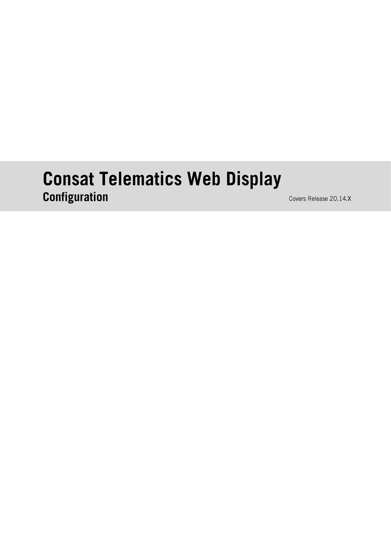# **Consat Telematics Web Display** Configuration

Covers Release 20.14.X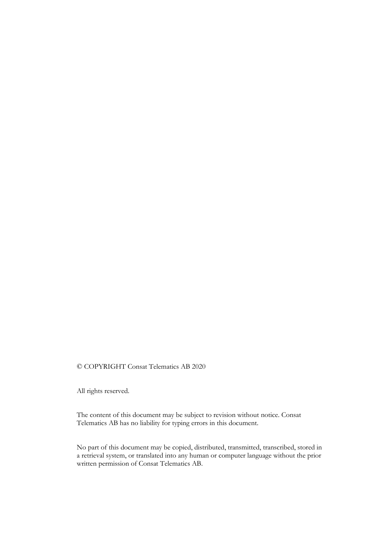#### © COPYRIGHT Consat Telematics AB 2020

All rights reserved.

The content of this document may be subject to revision without notice. Consat Telematics AB has no liability for typing errors in this document.

No part of this document may be copied, distributed, transmitted, transcribed, stored in a retrieval system, or translated into any human or computer language without the prior written permission of Consat Telematics AB.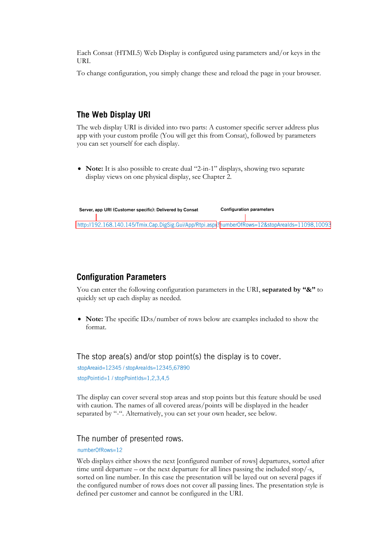Each Consat (HTML5) Web Display is configured using parameters and/or keys in the URI.

To change configuration, you simply change these and reload the page in your browser.

# The Web Display URI

The web display URI is divided into two parts: A customer specific server address plus app with your custom profile (You will get this from Consat), followed by parameters you can set yourself for each display.

• **Note:** It is also possible to create dual "2-in-1" displays, showing two separate display views on one physical display, see Chapter 2.

|  | Server, app URI (Customer specific): Delivered by Consat                                         | <b>Configuration parameters</b> |  |
|--|--------------------------------------------------------------------------------------------------|---------------------------------|--|
|  |                                                                                                  |                                 |  |
|  | http://192.168.140.145/Tmix.Cap.DigSig.Gui/App/Rtpi.aspx?humberOfRows=12&stopArealds=11098,10093 |                                 |  |

# **Configuration Parameters**

You can enter the following configuration parameters in the URI, **separated by "&"** to quickly set up each display as needed.

• **Note:** The specific ID:s/number of rows below are examples included to show the format.

The stop area(s) and/or stop point(s) the display is to cover.

stopAreaid=12345 / stopAreaIds=12345,67890 stopPointid= $1/$ stopPointIds= $1,2,3,4,5$ 

The display can cover several stop areas and stop points but this feature should be used with caution. The names of all covered areas/points will be displayed in the header separated by "-". Alternatively, you can set your own header, see below.

#### The number of presented rows.

numberOfRows=12

Web displays either shows the next [configured number of rows] departures, sorted after time until departure – or the next departure for all lines passing the included stop/-s, sorted on line number. In this case the presentation will be layed out on several pages if the configured number of rows does not cover all passing lines. The presentation style is defined per customer and cannot be configured in the URI.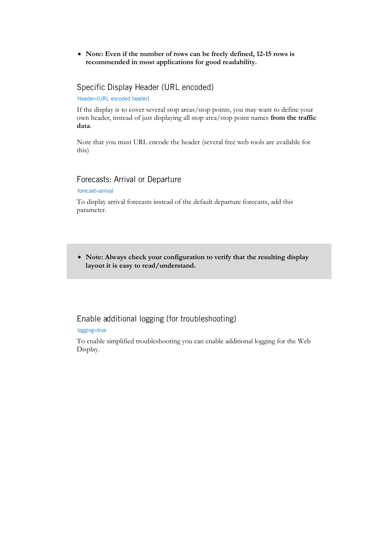• **Note: Even if the number of rows can be freely defined, 12-15 rows is recommended in most applications for good readability.**

## Specific Display Header (URL encoded)

Header=[URL encoded header]

If the display is to cover several stop areas/stop points, you may want to define your own header, instead of just displaying all stop area/stop point names **from the traffic data**.

Note that you must URL encode the header (several free web tools are available for this)

#### Forecasts: Arrival or Departure

#### forecast=arrival

To display arrival forecasts instead of the default departure forecasts, add this parameter.

• **Note: Always check your configuration to verify that the resulting display layout it is easy to read/understand.**

## Enable additional logging (for troubleshooting)

#### logging=true

To enable simplified troubleshooting you can enable additional logging for the Web Display.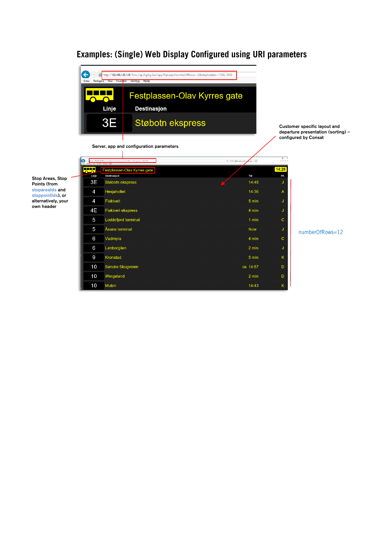

# Examples: (Single) Web Display Configured using URI parameters

Stop Areas, Stop Points (from stoparealds and stoppointIds), or alternatively, your own header